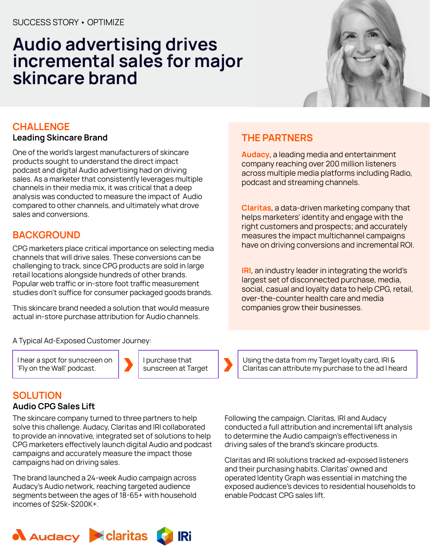## **Audio advertising drives incremental sales for major skincare brand**



## **CHALLENGE**

#### **Leading Skincare Brand**

One of the world's largest manufacturers of skincare products sought to understand the direct impact podcast and digital Audio advertising had on driving sales. As a marketer that consistently leverages multiple channels in their media mix, it was critical that a deep analysis was conducted to measure the impact of Audio compared to other channels, and ultimately what drove sales and conversions.

## **BACKGROUND**

CPG marketers place critical importance on selecting media channels that will drive sales. These conversions can be challenging to track, since CPG products are sold in large retail locations alongside hundreds of other brands. Popular web traffic or in-store foot traffic measurement studies don't suffice for consumer packaged goods brands.

This skincare brand needed a solution that would measure actual in-store purchase attribution for Audio channels.

#### A Typical Ad-Exposed Customer Journey:

I hear a spot for sunscreen on 'Fly on the Wall' podcast.



I purchase that sunscreen at Target

#### company reaching over 200 million listeners across multiple media platforms including Radio,

**THE PARTNERS**

podcast and streaming channels.

**Claritas**, a data-driven marketing company that helps marketers' identity and engage with the right customers and prospects; and accurately measures the impact multichannel campaigns have on driving conversions and incremental ROI.

**Audacy**, a leading media and entertainment

**IRI**, an industry leader in integrating the world's largest set of disconnected purchase, media, social, casual and loyalty data to help CPG, retail, over-the-counter health care and media companies grow their businesses.

Using the data from my Target loyalty card, IRI & Claritas can attribute my purchase to the ad I heard

#### **SOLUTION**

#### **Audio CPG Sales Lift**

The skincare company turned to three partners to help solve this challenge. Audacy, Claritas and IRI collaborated to provide an innovative, integrated set of solutions to help CPG marketers effectively launch digital Audio and podcast campaigns and accurately measure the impact those campaigns had on driving sales.

The brand launched a 24-week Audio campaign across Audacy's Audio network, reaching targeted audience segments between the ages of 18-65+ with household incomes of \$25k-\$200K+.

Following the campaign, Claritas, IRI and Audacy conducted a full attribution and incremental lift analysis to determine the Audio campaign's effectiveness in driving sales of the brand's skincare products.

Claritas and IRI solutions tracked ad-exposed listeners and their purchasing habits. Claritas' owned and operated Identity Graph was essential in matching the exposed audience's devices to residential households to enable Podcast CPG sales lift.